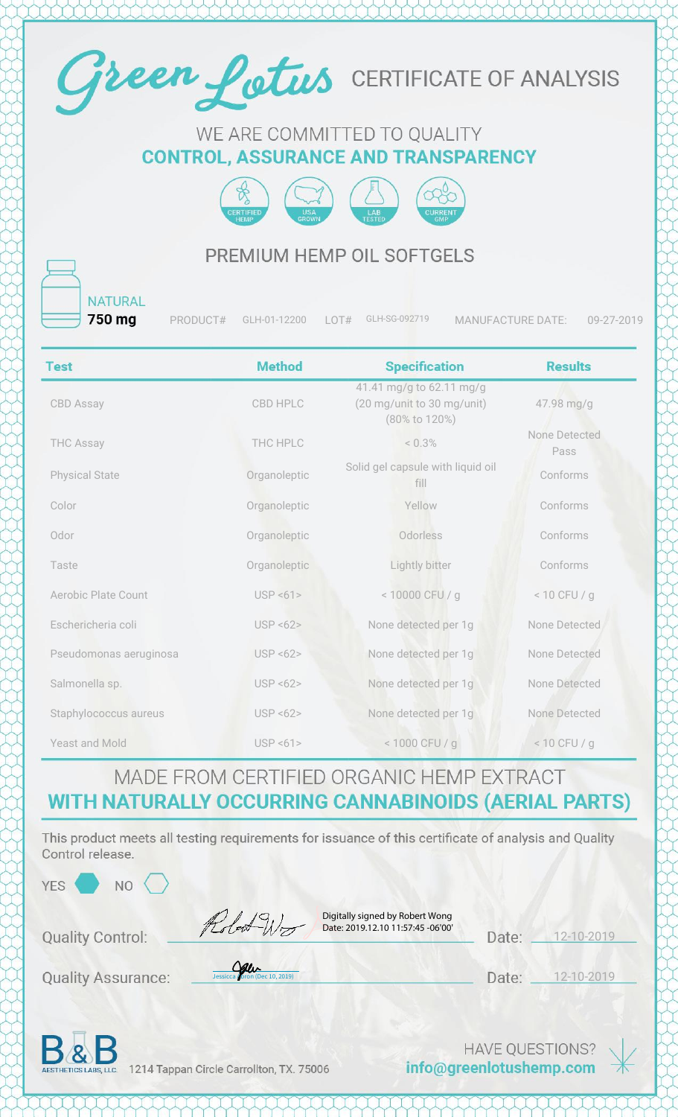

#### WE ARE COMMITTED TO QUALITY **CONTROL, ASSURANCE AND TRANSPARENCY**



#### PREMIUM HEMP OIL SOFTGELS

**NATURAL** 750 mg

PRODUCT# GLH-01-12200 LOT# GLH-SG-092719 MANUFACTURE DATE: 09-27-2019

| <b>Test</b>                | <b>Method</b>         | <b>Specification</b>                                                    | <b>Results</b>        |
|----------------------------|-----------------------|-------------------------------------------------------------------------|-----------------------|
| <b>CBD Assay</b>           | CBD HPLC              | 41.41 mg/g to 62.11 mg/g<br>(20 mg/unit to 30 mg/unit)<br>(80% to 120%) | 47.98 mg/g            |
| <b>THC Assay</b>           | THC HPLC              | $< 0.3\%$                                                               | None Detected<br>Pass |
| <b>Physical State</b>      | Organoleptic          | Solid gel capsule with liquid oil<br>fill                               | Conforms              |
| Color                      | Organoleptic          | Yellow                                                                  | Conforms              |
| Odor                       | Organoleptic          | Odorless                                                                | Conforms              |
| Taste                      | Organoleptic          | Lightly bitter                                                          | Conforms              |
| <b>Aerobic Plate Count</b> | USP < 61              | < 10000 CFU / g                                                         | $< 10$ CFU / g        |
| Eschericheria coli         | USP < 62              | None detected per 1g                                                    | None Detected         |
| Pseudomonas aeruginosa     | USP < 62              | None detected per 1g                                                    | None Detected         |
| Salmonella sp.             | <b>USP &lt;62&gt;</b> | None detected per 1g                                                    | None Detected         |
| Staphylococcus aureus      | <b>USP &lt;62&gt;</b> | None detected per 1g                                                    | None Detected         |
| Yeast and Mold             | USP < 61              | < 1000 CFU / g                                                          | $< 10$ CFU / g        |

### MADE FROM CERTIFIED ORGANIC HEMP EXTRACT WITH NATURALLY OCCURRING CANNABINOIDS (AERIAL PARTS)

This product meets all testing requirements for issuance of this certificate of analysis and Quality Control release

| 000000000000<br>YES <sup></sup><br>NO. |                                                                                     |                 |                 |  |
|----------------------------------------|-------------------------------------------------------------------------------------|-----------------|-----------------|--|
| <b>Quality Control:</b>                | Digitally signed by Robert Wong<br>Robert Wood<br>Date: 2019.12.10 11:57:45 -06'00' | Date:           | $2 - 10 - 2019$ |  |
| <b>Quality Assurance:</b>              | $\frac{Q}{\text{Jessicca}}\left(\frac{Q}{\text{pron}}\right)$ (Dec 10, 2019)        | Date:           | 12-10-2019      |  |
| $\mathbf{R}$                           |                                                                                     | HAVE OUESTIONS? |                 |  |

AESTHETICS LABS, LLC. 1214 Tappan Circle Carrollton, TX. 75006

info@greenlotushemp.com

 $*$